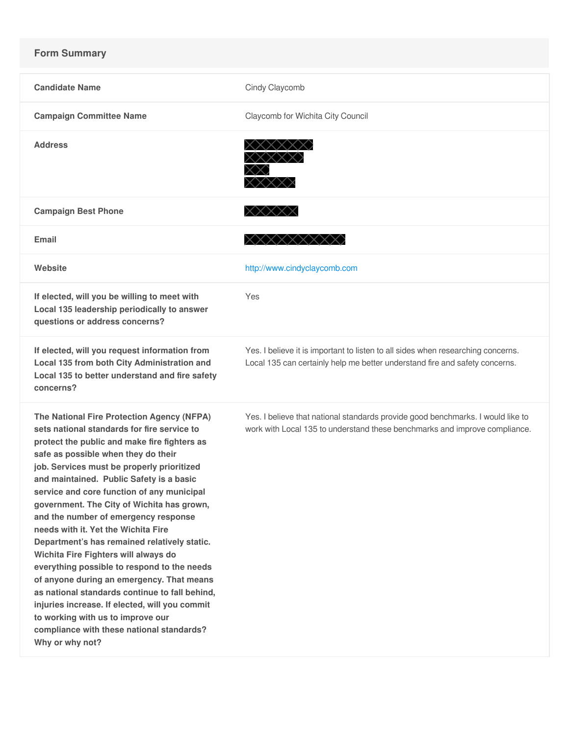## **Form Summary**

| <b>Candidate Name</b>                                                                                                                                                                                                                                                                                                                                                                                                                                                                                                                                                                                                                                                                                                                                                                                                                              | Cindy Claycomb                                                                                                                                                  |
|----------------------------------------------------------------------------------------------------------------------------------------------------------------------------------------------------------------------------------------------------------------------------------------------------------------------------------------------------------------------------------------------------------------------------------------------------------------------------------------------------------------------------------------------------------------------------------------------------------------------------------------------------------------------------------------------------------------------------------------------------------------------------------------------------------------------------------------------------|-----------------------------------------------------------------------------------------------------------------------------------------------------------------|
| <b>Campaign Committee Name</b>                                                                                                                                                                                                                                                                                                                                                                                                                                                                                                                                                                                                                                                                                                                                                                                                                     | Claycomb for Wichita City Council                                                                                                                               |
| <b>Address</b>                                                                                                                                                                                                                                                                                                                                                                                                                                                                                                                                                                                                                                                                                                                                                                                                                                     | X X :<br><b>x x x x x</b>                                                                                                                                       |
| <b>Campaign Best Phone</b>                                                                                                                                                                                                                                                                                                                                                                                                                                                                                                                                                                                                                                                                                                                                                                                                                         | XXXXX                                                                                                                                                           |
| Email                                                                                                                                                                                                                                                                                                                                                                                                                                                                                                                                                                                                                                                                                                                                                                                                                                              |                                                                                                                                                                 |
| Website                                                                                                                                                                                                                                                                                                                                                                                                                                                                                                                                                                                                                                                                                                                                                                                                                                            | http://www.cindyclaycomb.com                                                                                                                                    |
| If elected, will you be willing to meet with<br>Local 135 leadership periodically to answer<br>questions or address concerns?                                                                                                                                                                                                                                                                                                                                                                                                                                                                                                                                                                                                                                                                                                                      | Yes                                                                                                                                                             |
| If elected, will you request information from<br>Local 135 from both City Administration and<br>Local 135 to better understand and fire safety<br>concerns?                                                                                                                                                                                                                                                                                                                                                                                                                                                                                                                                                                                                                                                                                        | Yes. I believe it is important to listen to all sides when researching concerns.<br>Local 135 can certainly help me better understand fire and safety concerns. |
| The National Fire Protection Agency (NFPA)<br>sets national standards for fire service to<br>protect the public and make fire fighters as<br>safe as possible when they do their<br>job. Services must be properly prioritized<br>and maintained. Public Safety is a basic<br>service and core function of any municipal<br>government. The City of Wichita has grown,<br>and the number of emergency response<br>needs with it. Yet the Wichita Fire<br>Department's has remained relatively static.<br>Wichita Fire Fighters will always do<br>everything possible to respond to the needs<br>of anyone during an emergency. That means<br>as national standards continue to fall behind,<br>injuries increase. If elected, will you commit<br>to working with us to improve our<br>compliance with these national standards?<br>Why or why not? | Yes. I believe that national standards provide good benchmarks. I would like to<br>work with Local 135 to understand these benchmarks and improve compliance.   |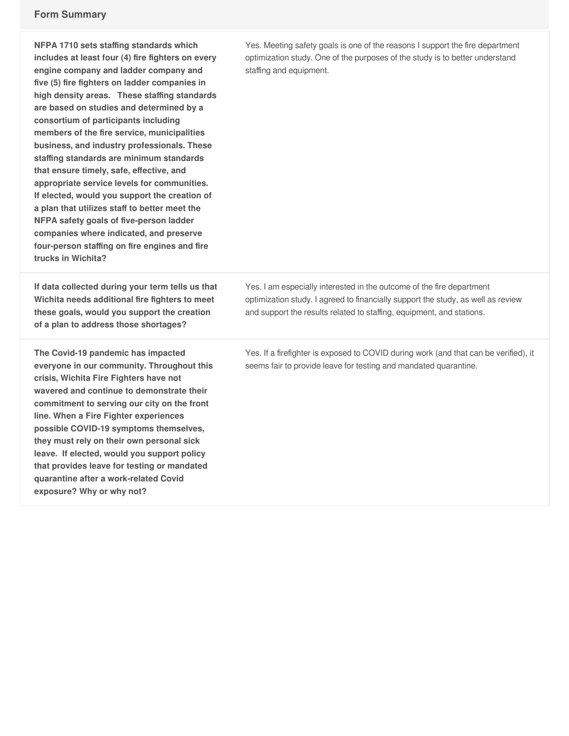**NFPA 1710 sets staffing standards which includes at least four (4) fire fighters on every engine company and ladder company and five (5) fire fighters on ladder companies in high density areas. These staffing standards are based on studies and determined by a consortium of participants including members of the fire service, municipalities business, and industry professionals. These staffing standards are minimum standards that ensure timely, safe, effective, and appropriate service levels for communities. If elected, would you support the creation of a plan that utilizes staff to better meet the NFPA safety goals of five-person ladder companies where indicated, and preserve four-person staffing on fire engines and fire trucks in Wichita?**

**If data collected during your term tells us that Wichita needs additional fire fighters to meet these goals, would you support the creation of a plan to address those shortages?**

**The Covid-19 pandemic has impacted everyone in our community. Throughout this crisis, Wichita Fire Fighters have not wavered and continue to demonstrate their commitment to serving our city on the front line. When a Fire Fighter experiences possible COVID-19 symptoms themselves, they must rely on their own personal sick leave. If elected, would you support policy that provides leave for testing or mandated quarantine after a work-related Covid exposure? Why or why not?**

Yes. Meeting safety goals is one of the reasons I support the fire department optimization study. One of the purposes of the study is to better understand staffing and equipment.

Yes. I am especially interested in the outcome of the fire department optimization study. I agreed to financially support the study, as well as review and support the results related to staffing, equipment, and stations.

Yes. If a firefighter is exposed to COVID during work (and that can be verified), it seems fair to provide leave for testing and mandated quarantine.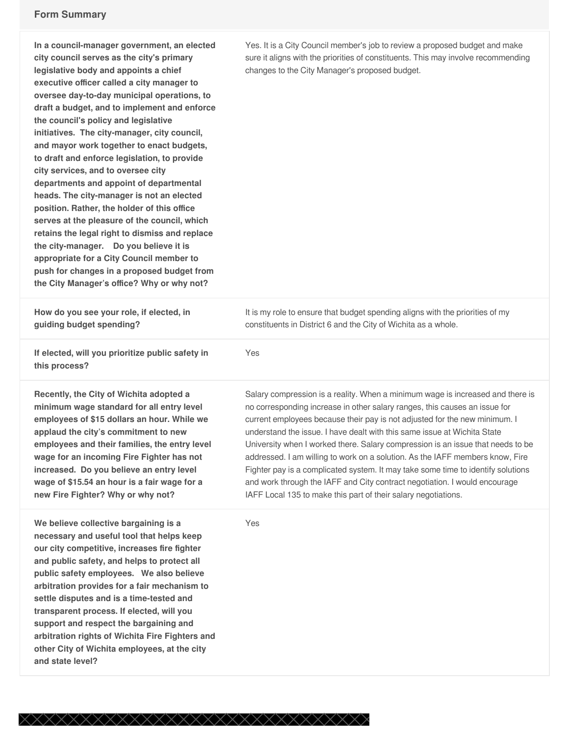**In a council-manager government, an elected city council serves as the city's primary legislative body and appoints a chief executive officer called a city manager to oversee day-to-day municipal operations, to draft a budget, and to implement and enforce the council's policy and legislative initiatives. The city-manager, city council, and mayor work together to enact budgets, to draft and enforce legislation, to provide city services, and to oversee city departments and appoint of departmental heads. The city-manager is not an elected position. Rather, the holder of this office serves at the pleasure of the council, which retains the legal right to dismiss and replace the city-manager. Do you believe it is appropriate for a City Council member to push for changes in a proposed budget from the City Manager's office? Why or why not?**

Yes. It is a City Council member's job to review a proposed budget and make sure it aligns with the priorities of constituents. This may involve recommending changes to the City Manager's proposed budget.

| How do you see your role, if elected, in                                                                                                                                                                                                                                                                            | It is my role to ensure that budget spending aligns with the priorities of my    |
|---------------------------------------------------------------------------------------------------------------------------------------------------------------------------------------------------------------------------------------------------------------------------------------------------------------------|----------------------------------------------------------------------------------|
| guiding budget spending?                                                                                                                                                                                                                                                                                            | constituents in District 6 and the City of Wichita as a whole.                   |
| If elected, will you prioritize public safety in<br>this process?                                                                                                                                                                                                                                                   | Yes                                                                              |
| Recently, the City of Wichita adopted a                                                                                                                                                                                                                                                                             | Salary compression is a reality. When a minimum wage is increased and there is   |
| minimum wage standard for all entry level                                                                                                                                                                                                                                                                           | no corresponding increase in other salary ranges, this causes an issue for       |
| employees of \$15 dollars an hour. While we                                                                                                                                                                                                                                                                         | current employees because their pay is not adjusted for the new minimum. I       |
| applaud the city's commitment to new                                                                                                                                                                                                                                                                                | understand the issue. I have dealt with this same issue at Wichita State         |
| employees and their families, the entry level                                                                                                                                                                                                                                                                       | University when I worked there. Salary compression is an issue that needs to be  |
| wage for an incoming Fire Fighter has not                                                                                                                                                                                                                                                                           | addressed. I am willing to work on a solution. As the IAFF members know, Fire    |
| increased. Do you believe an entry level                                                                                                                                                                                                                                                                            | Fighter pay is a complicated system. It may take some time to identify solutions |
| wage of \$15.54 an hour is a fair wage for a                                                                                                                                                                                                                                                                        | and work through the IAFF and City contract negotiation. I would encourage       |
| new Fire Fighter? Why or why not?                                                                                                                                                                                                                                                                                   | IAFF Local 135 to make this part of their salary negotiations.                   |
| We believe collective bargaining is a<br>necessary and useful tool that helps keep<br>our city competitive, increases fire fighter<br>and public safety, and helps to protect all<br>public safety employees. We also believe<br>المقارض والمتمام والمستحدث وبالمكاري والمتحدث والمتحدث والمستحدث والمتحدث والمناسب | Yes                                                                              |

**arbitration provides for a fair mechanism to settle disputes and is a time-tested and transparent process. If elected, will you support and respect the bargaining and arbitration rights of Wichita Fire Fighters and other City of Wichita employees, at the city and state level?**

XXXXXXXXXXXXXXXXXXXXXXXXXXX